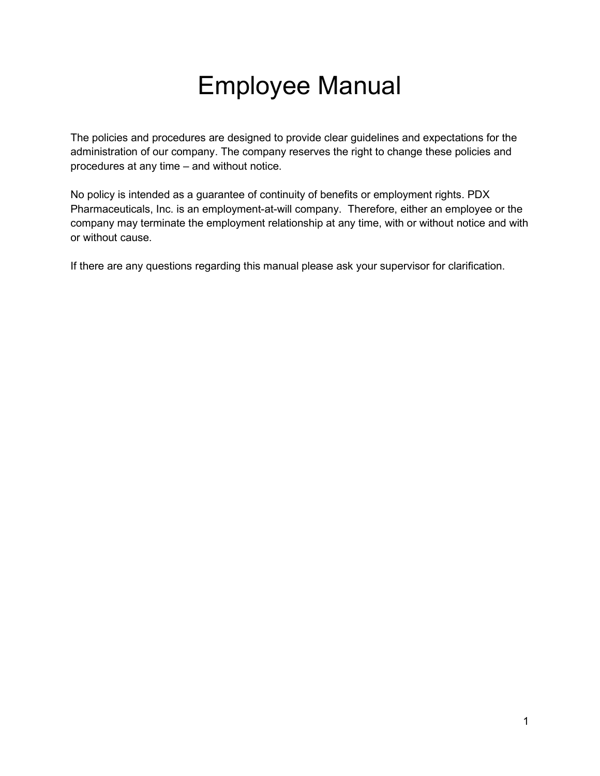# Employee Manual

The policies and procedures are designed to provide clear guidelines and expectations for the administration of our company. The company reserves the right to change these policies and procedures at any time – and without notice.

No policy is intended as a guarantee of continuity of benefits or employment rights. PDX Pharmaceuticals, Inc. is an employment-at-will company. Therefore, either an employee or the company may terminate the employment relationship at any time, with or without notice and with or without cause.

If there are any questions regarding this manual please ask your supervisor for clarification.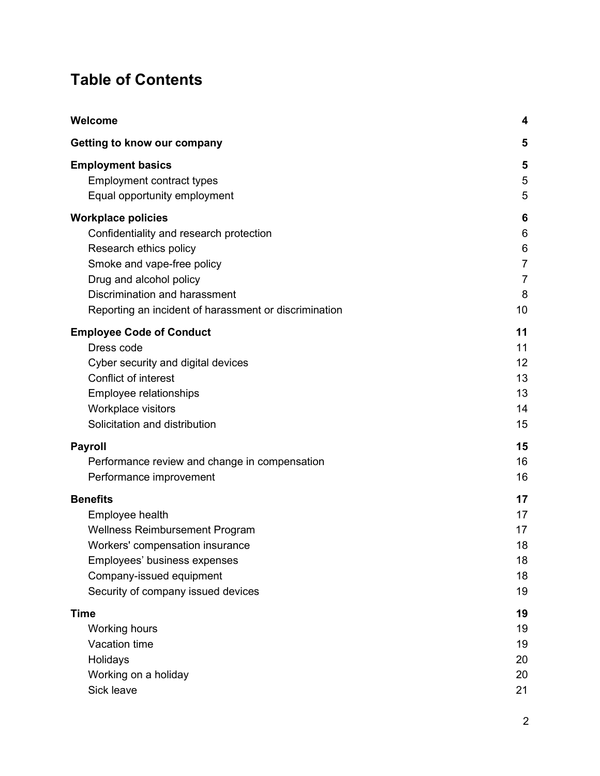# Table of Contents

| Welcome                                               | 4              |
|-------------------------------------------------------|----------------|
| Getting to know our company                           | 5              |
| <b>Employment basics</b>                              | 5              |
| <b>Employment contract types</b>                      | 5              |
| Equal opportunity employment                          | 5              |
| <b>Workplace policies</b>                             | 6              |
| Confidentiality and research protection               | 6              |
| Research ethics policy                                | 6              |
| Smoke and vape-free policy                            | $\overline{7}$ |
| Drug and alcohol policy                               | $\overline{7}$ |
| Discrimination and harassment                         | 8              |
| Reporting an incident of harassment or discrimination | 10             |
| <b>Employee Code of Conduct</b>                       | 11             |
| Dress code                                            | 11             |
| Cyber security and digital devices                    | 12             |
| Conflict of interest                                  | 13             |
| Employee relationships                                | 13             |
| Workplace visitors                                    | 14             |
| Solicitation and distribution                         | 15             |
| <b>Payroll</b>                                        | 15             |
| Performance review and change in compensation         | 16             |
| Performance improvement                               | 16             |
| <b>Benefits</b>                                       | 17             |
| Employee health                                       | 17             |
| <b>Wellness Reimbursement Program</b>                 | 17             |
| Workers' compensation insurance                       | 18             |
| Employees' business expenses                          | 18             |
| Company-issued equipment                              | 18             |
| Security of company issued devices                    | 19             |
| <b>Time</b>                                           | 19             |
| <b>Working hours</b>                                  | 19             |
| Vacation time                                         | 19             |
| Holidays                                              | 20             |
| Working on a holiday                                  | 20             |
| Sick leave                                            | 21             |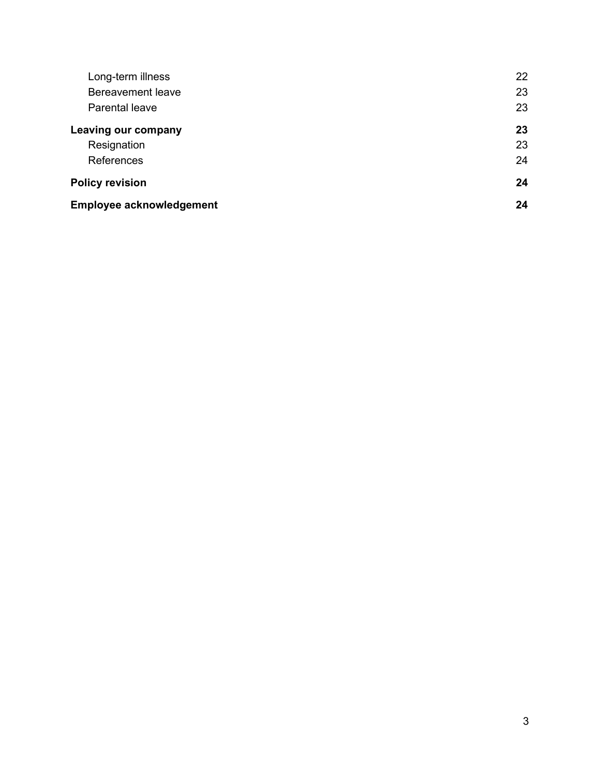| Long-term illness               | 22 |
|---------------------------------|----|
| <b>Bereavement leave</b>        | 23 |
| <b>Parental leave</b>           | 23 |
| <b>Leaving our company</b>      | 23 |
| Resignation                     | 23 |
| <b>References</b>               | 24 |
| <b>Policy revision</b>          | 24 |
| <b>Employee acknowledgement</b> | 24 |
|                                 |    |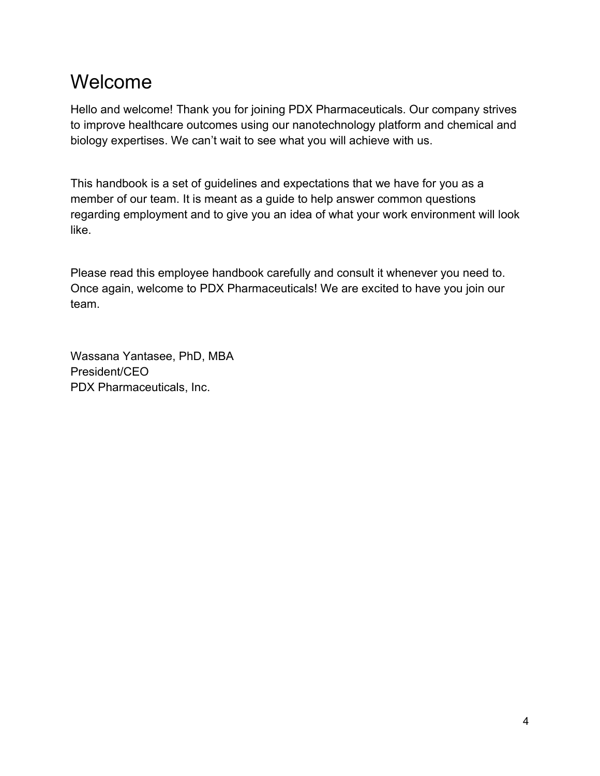# Welcome

Hello and welcome! Thank you for joining PDX Pharmaceuticals. Our company strives to improve healthcare outcomes using our nanotechnology platform and chemical and biology expertises. We can't wait to see what you will achieve with us.

This handbook is a set of guidelines and expectations that we have for you as a member of our team. It is meant as a guide to help answer common questions regarding employment and to give you an idea of what your work environment will look like.

Please read this employee handbook carefully and consult it whenever you need to. Once again, welcome to PDX Pharmaceuticals! We are excited to have you join our team.

Wassana Yantasee, PhD, MBA President/CEO PDX Pharmaceuticals, Inc.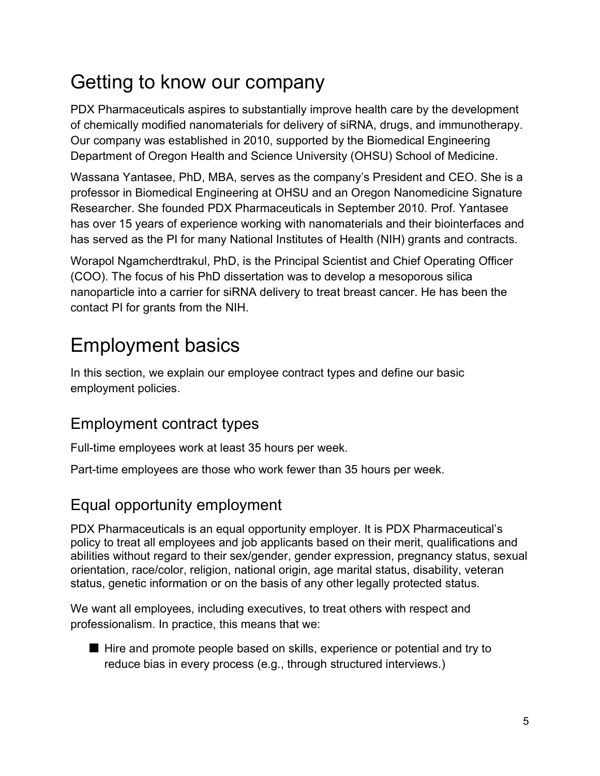# Getting to know our company

PDX Pharmaceuticals aspires to substantially improve health care by the development of chemically modified nanomaterials for delivery of siRNA, drugs, and immunotherapy. Our company was established in 2010, supported by the Biomedical Engineering Department of Oregon Health and Science University (OHSU) School of Medicine.

Wassana Yantasee, PhD, MBA, serves as the company's President and CEO. She is a professor in Biomedical Engineering at OHSU and an Oregon Nanomedicine Signature Researcher. She founded PDX Pharmaceuticals in September 2010. Prof. Yantasee has over 15 years of experience working with nanomaterials and their biointerfaces and has served as the PI for many National Institutes of Health (NIH) grants and contracts.

Worapol Ngamcherdtrakul, PhD, is the Principal Scientist and Chief Operating Officer (COO). The focus of his PhD dissertation was to develop a mesoporous silica nanoparticle into a carrier for siRNA delivery to treat breast cancer. He has been the contact PI for grants from the NIH.

# Employment basics

In this section, we explain our employee contract types and define our basic employment policies.

# Employment contract types

Full-time employees work at least 35 hours per week.

Part-time employees are those who work fewer than 35 hours per week.

# Equal opportunity employment

PDX Pharmaceuticals is an equal opportunity employer. It is PDX Pharmaceutical's policy to treat all employees and job applicants based on their merit, qualifications and abilities without regard to their sex/gender, gender expression, pregnancy status, sexual orientation, race/color, religion, national origin, age marital status, disability, veteran status, genetic information or on the basis of any other legally protected status.

We want all employees, including executives, to treat others with respect and professionalism. In practice, this means that we:

■ Hire and promote people based on skills, experience or potential and try to reduce bias in every process (e.g., through structured interviews.)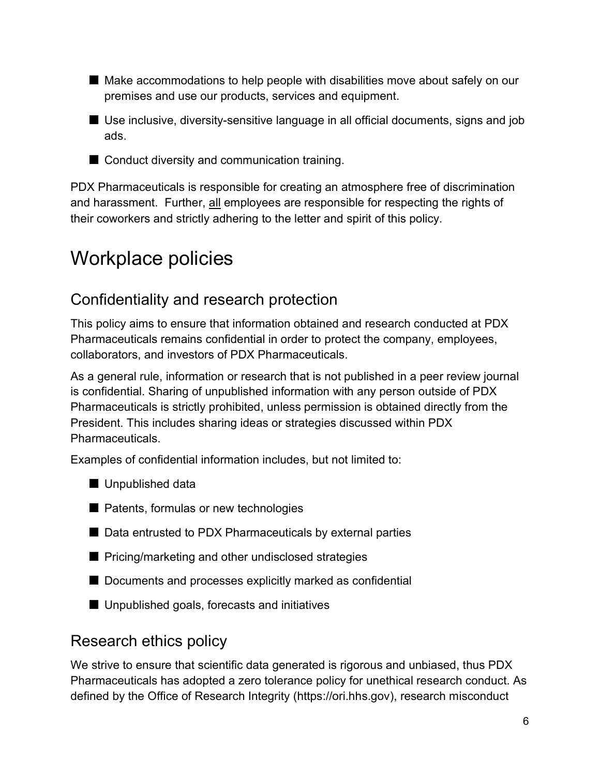- Make accommodations to help people with disabilities move about safely on our premises and use our products, services and equipment.
- Use inclusive, diversity-sensitive language in all official documents, signs and job ads.
- Conduct diversity and communication training.

PDX Pharmaceuticals is responsible for creating an atmosphere free of discrimination and harassment. Further, all employees are responsible for respecting the rights of their coworkers and strictly adhering to the letter and spirit of this policy.

# Workplace policies

### Confidentiality and research protection

This policy aims to ensure that information obtained and research conducted at PDX Pharmaceuticals remains confidential in order to protect the company, employees, collaborators, and investors of PDX Pharmaceuticals.

As a general rule, information or research that is not published in a peer review journal is confidential. Sharing of unpublished information with any person outside of PDX Pharmaceuticals is strictly prohibited, unless permission is obtained directly from the President. This includes sharing ideas or strategies discussed within PDX Pharmaceuticals.

Examples of confidential information includes, but not limited to:

■ Unpublished data



- Data entrusted to PDX Pharmaceuticals by external parties
- Pricing/marketing and other undisclosed strategies
- Documents and processes explicitly marked as confidential
- Unpublished goals, forecasts and initiatives

### Research ethics policy

We strive to ensure that scientific data generated is rigorous and unbiased, thus PDX Pharmaceuticals has adopted a zero tolerance policy for unethical research conduct. As defined by the Office of Research Integrity (https://ori.hhs.gov), research misconduct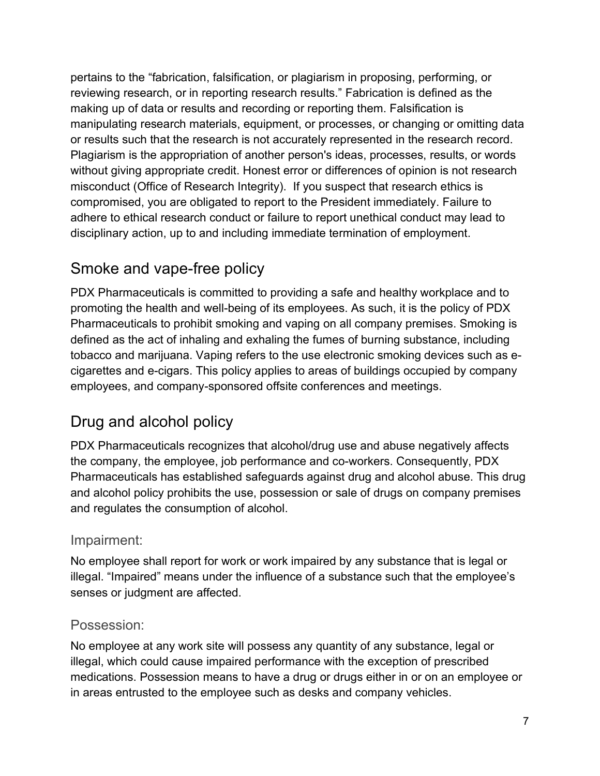pertains to the "fabrication, falsification, or plagiarism in proposing, performing, or reviewing research, or in reporting research results." Fabrication is defined as the making up of data or results and recording or reporting them. Falsification is manipulating research materials, equipment, or processes, or changing or omitting data or results such that the research is not accurately represented in the research record. Plagiarism is the appropriation of another person's ideas, processes, results, or words without giving appropriate credit. Honest error or differences of opinion is not research misconduct (Office of Research Integrity). If you suspect that research ethics is compromised, you are obligated to report to the President immediately. Failure to adhere to ethical research conduct or failure to report unethical conduct may lead to disciplinary action, up to and including immediate termination of employment.

# Smoke and vape-free policy

PDX Pharmaceuticals is committed to providing a safe and healthy workplace and to promoting the health and well-being of its employees. As such, it is the policy of PDX Pharmaceuticals to prohibit smoking and vaping on all company premises. Smoking is defined as the act of inhaling and exhaling the fumes of burning substance, including tobacco and marijuana. Vaping refers to the use electronic smoking devices such as ecigarettes and e-cigars. This policy applies to areas of buildings occupied by company employees, and company-sponsored offsite conferences and meetings.

# Drug and alcohol policy

PDX Pharmaceuticals recognizes that alcohol/drug use and abuse negatively affects the company, the employee, job performance and co-workers. Consequently, PDX Pharmaceuticals has established safeguards against drug and alcohol abuse. This drug and alcohol policy prohibits the use, possession or sale of drugs on company premises and regulates the consumption of alcohol.

### Impairment:

No employee shall report for work or work impaired by any substance that is legal or illegal. "Impaired" means under the influence of a substance such that the employee's senses or judgment are affected.

#### Possession:

No employee at any work site will possess any quantity of any substance, legal or illegal, which could cause impaired performance with the exception of prescribed medications. Possession means to have a drug or drugs either in or on an employee or in areas entrusted to the employee such as desks and company vehicles.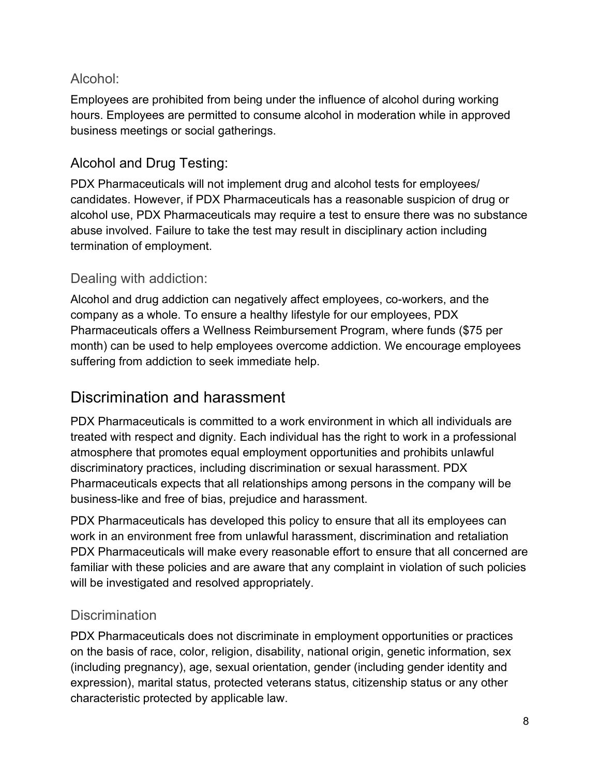### Alcohol:

Employees are prohibited from being under the influence of alcohol during working hours. Employees are permitted to consume alcohol in moderation while in approved business meetings or social gatherings.

### Alcohol and Drug Testing:

PDX Pharmaceuticals will not implement drug and alcohol tests for employees/ candidates. However, if PDX Pharmaceuticals has a reasonable suspicion of drug or alcohol use, PDX Pharmaceuticals may require a test to ensure there was no substance abuse involved. Failure to take the test may result in disciplinary action including termination of employment.

### Dealing with addiction:

Alcohol and drug addiction can negatively affect employees, co-workers, and the company as a whole. To ensure a healthy lifestyle for our employees, PDX Pharmaceuticals offers a Wellness Reimbursement Program, where funds (\$75 per month) can be used to help employees overcome addiction. We encourage employees suffering from addiction to seek immediate help.

## Discrimination and harassment

PDX Pharmaceuticals is committed to a work environment in which all individuals are treated with respect and dignity. Each individual has the right to work in a professional atmosphere that promotes equal employment opportunities and prohibits unlawful discriminatory practices, including discrimination or sexual harassment. PDX Pharmaceuticals expects that all relationships among persons in the company will be business-like and free of bias, prejudice and harassment.

PDX Pharmaceuticals has developed this policy to ensure that all its employees can work in an environment free from unlawful harassment, discrimination and retaliation PDX Pharmaceuticals will make every reasonable effort to ensure that all concerned are familiar with these policies and are aware that any complaint in violation of such policies will be investigated and resolved appropriately.

### **Discrimination**

PDX Pharmaceuticals does not discriminate in employment opportunities or practices on the basis of race, color, religion, disability, national origin, genetic information, sex (including pregnancy), age, sexual orientation, gender (including gender identity and expression), marital status, protected veterans status, citizenship status or any other characteristic protected by applicable law.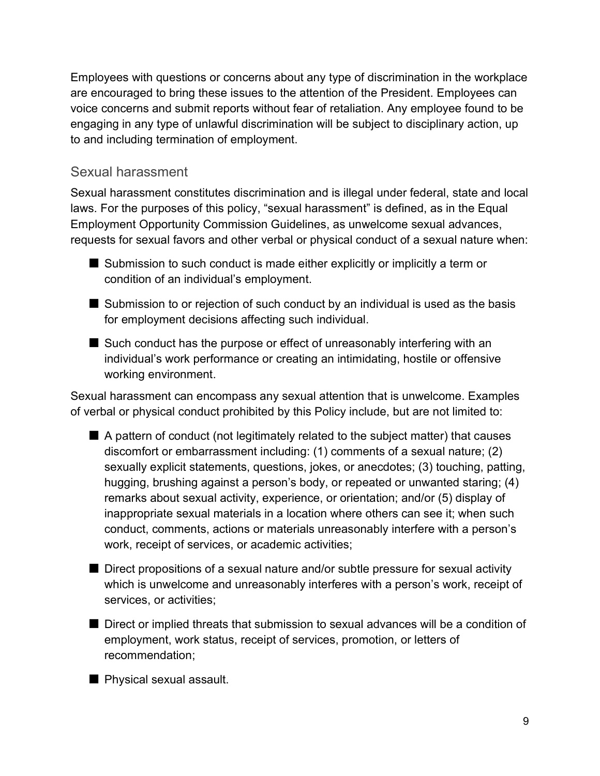Employees with questions or concerns about any type of discrimination in the workplace are encouraged to bring these issues to the attention of the President. Employees can voice concerns and submit reports without fear of retaliation. Any employee found to be engaging in any type of unlawful discrimination will be subject to disciplinary action, up to and including termination of employment.

#### Sexual harassment

Sexual harassment constitutes discrimination and is illegal under federal, state and local laws. For the purposes of this policy, "sexual harassment" is defined, as in the Equal Employment Opportunity Commission Guidelines, as unwelcome sexual advances, requests for sexual favors and other verbal or physical conduct of a sexual nature when:

- Submission to such conduct is made either explicitly or implicitly a term or condition of an individual's employment.
- Submission to or rejection of such conduct by an individual is used as the basis for employment decisions affecting such individual.
- Such conduct has the purpose or effect of unreasonably interfering with an individual's work performance or creating an intimidating, hostile or offensive working environment.

Sexual harassment can encompass any sexual attention that is unwelcome. Examples of verbal or physical conduct prohibited by this Policy include, but are not limited to:

- A pattern of conduct (not legitimately related to the subject matter) that causes discomfort or embarrassment including: (1) comments of a sexual nature; (2) sexually explicit statements, questions, jokes, or anecdotes; (3) touching, patting, hugging, brushing against a person's body, or repeated or unwanted staring; (4) remarks about sexual activity, experience, or orientation; and/or (5) display of inappropriate sexual materials in a location where others can see it; when such conduct, comments, actions or materials unreasonably interfere with a person's work, receipt of services, or academic activities;
- Direct propositions of a sexual nature and/or subtle pressure for sexual activity which is unwelcome and unreasonably interferes with a person's work, receipt of services, or activities;
- Direct or implied threats that submission to sexual advances will be a condition of employment, work status, receipt of services, promotion, or letters of recommendation;
- Physical sexual assault.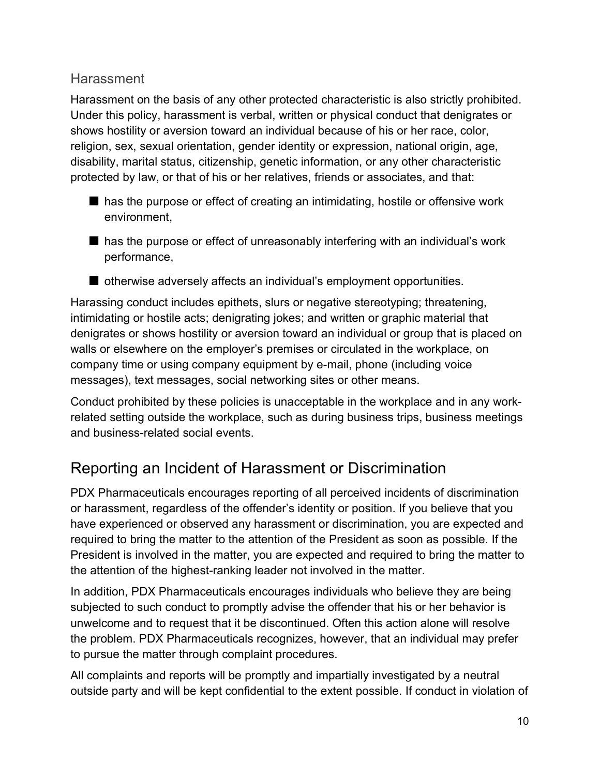### **Harassment**

Harassment on the basis of any other protected characteristic is also strictly prohibited. Under this policy, harassment is verbal, written or physical conduct that denigrates or shows hostility or aversion toward an individual because of his or her race, color, religion, sex, sexual orientation, gender identity or expression, national origin, age, disability, marital status, citizenship, genetic information, or any other characteristic protected by law, or that of his or her relatives, friends or associates, and that:

- has the purpose or effect of creating an intimidating, hostile or offensive work environment,
- has the purpose or effect of unreasonably interfering with an individual's work performance,
- otherwise adversely affects an individual's employment opportunities.

Harassing conduct includes epithets, slurs or negative stereotyping; threatening, intimidating or hostile acts; denigrating jokes; and written or graphic material that denigrates or shows hostility or aversion toward an individual or group that is placed on walls or elsewhere on the employer's premises or circulated in the workplace, on company time or using company equipment by e-mail, phone (including voice messages), text messages, social networking sites or other means.

Conduct prohibited by these policies is unacceptable in the workplace and in any workrelated setting outside the workplace, such as during business trips, business meetings and business-related social events.

# Reporting an Incident of Harassment or Discrimination

PDX Pharmaceuticals encourages reporting of all perceived incidents of discrimination or harassment, regardless of the offender's identity or position. If you believe that you have experienced or observed any harassment or discrimination, you are expected and required to bring the matter to the attention of the President as soon as possible. If the President is involved in the matter, you are expected and required to bring the matter to the attention of the highest-ranking leader not involved in the matter.

In addition, PDX Pharmaceuticals encourages individuals who believe they are being subjected to such conduct to promptly advise the offender that his or her behavior is unwelcome and to request that it be discontinued. Often this action alone will resolve the problem. PDX Pharmaceuticals recognizes, however, that an individual may prefer to pursue the matter through complaint procedures.

All complaints and reports will be promptly and impartially investigated by a neutral outside party and will be kept confidential to the extent possible. If conduct in violation of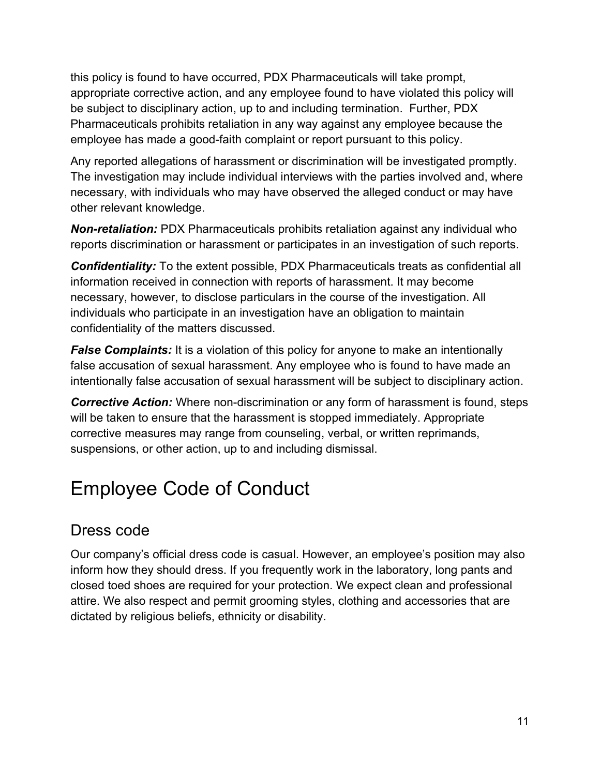this policy is found to have occurred, PDX Pharmaceuticals will take prompt, appropriate corrective action, and any employee found to have violated this policy will be subject to disciplinary action, up to and including termination. Further, PDX Pharmaceuticals prohibits retaliation in any way against any employee because the employee has made a good-faith complaint or report pursuant to this policy.

Any reported allegations of harassment or discrimination will be investigated promptly. The investigation may include individual interviews with the parties involved and, where necessary, with individuals who may have observed the alleged conduct or may have other relevant knowledge.

**Non-retaliation:** PDX Pharmaceuticals prohibits retaliation against any individual who reports discrimination or harassment or participates in an investigation of such reports.

Confidentiality: To the extent possible, PDX Pharmaceuticals treats as confidential all information received in connection with reports of harassment. It may become necessary, however, to disclose particulars in the course of the investigation. All individuals who participate in an investigation have an obligation to maintain confidentiality of the matters discussed.

**False Complaints:** It is a violation of this policy for anyone to make an intentionally false accusation of sexual harassment. Any employee who is found to have made an intentionally false accusation of sexual harassment will be subject to disciplinary action.

**Corrective Action:** Where non-discrimination or any form of harassment is found, steps will be taken to ensure that the harassment is stopped immediately. Appropriate corrective measures may range from counseling, verbal, or written reprimands, suspensions, or other action, up to and including dismissal.

# Employee Code of Conduct

# Dress code

Our company's official dress code is casual. However, an employee's position may also inform how they should dress. If you frequently work in the laboratory, long pants and closed toed shoes are required for your protection. We expect clean and professional attire. We also respect and permit grooming styles, clothing and accessories that are dictated by religious beliefs, ethnicity or disability.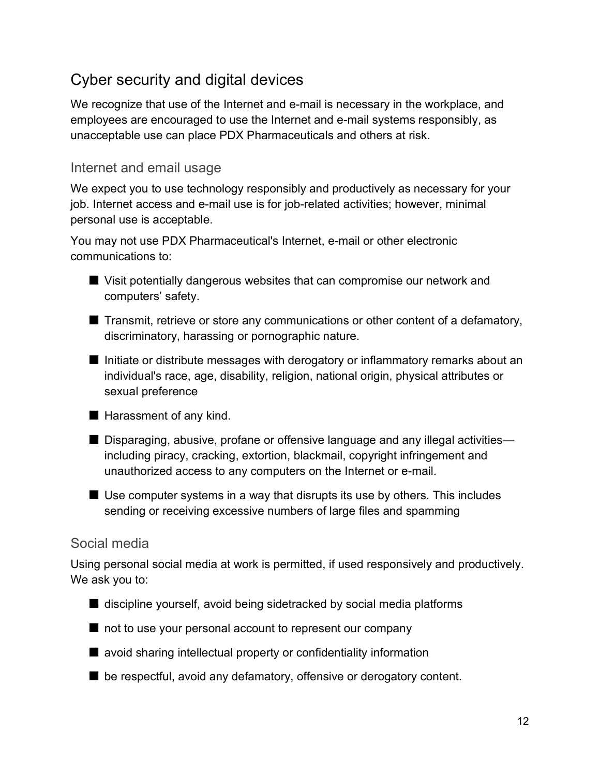# Cyber security and digital devices

We recognize that use of the Internet and e-mail is necessary in the workplace, and employees are encouraged to use the Internet and e-mail systems responsibly, as unacceptable use can place PDX Pharmaceuticals and others at risk.

#### Internet and email usage

We expect you to use technology responsibly and productively as necessary for your job. Internet access and e-mail use is for job-related activities; however, minimal personal use is acceptable.

You may not use PDX Pharmaceutical's Internet, e-mail or other electronic communications to:

- Visit potentially dangerous websites that can compromise our network and computers' safety.
- Transmit, retrieve or store any communications or other content of a defamatory, discriminatory, harassing or pornographic nature.
- Initiate or distribute messages with derogatory or inflammatory remarks about an individual's race, age, disability, religion, national origin, physical attributes or sexual preference

■ Harassment of any kind.

- Disparaging, abusive, profane or offensive language and any illegal activities including piracy, cracking, extortion, blackmail, copyright infringement and unauthorized access to any computers on the Internet or e-mail.
- $\blacksquare$  Use computer systems in a way that disrupts its use by others. This includes sending or receiving excessive numbers of large files and spamming

### Social media

Using personal social media at work is permitted, if used responsively and productively. We ask you to:

- discipline yourself, avoid being sidetracked by social media platforms
- not to use your personal account to represent our company
- avoid sharing intellectual property or confidentiality information
- be respectful, avoid any defamatory, offensive or derogatory content.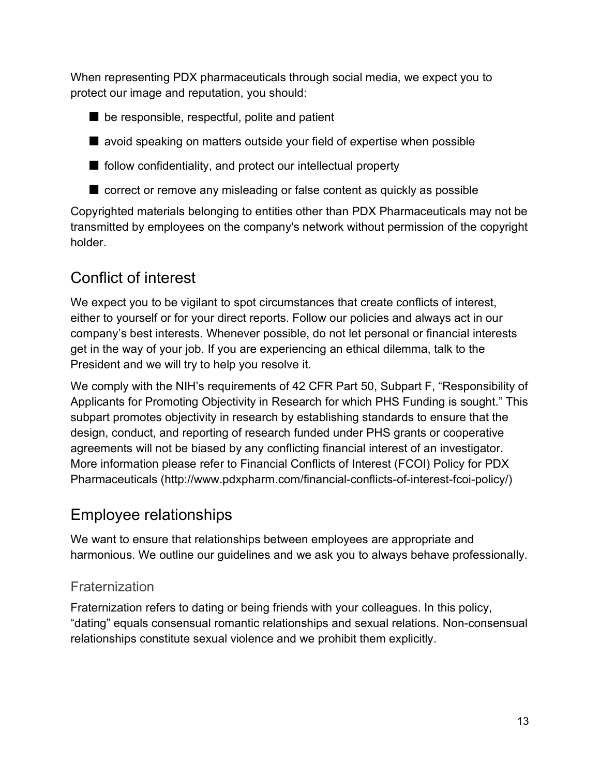When representing PDX pharmaceuticals through social media, we expect you to protect our image and reputation, you should:

- be responsible, respectful, polite and patient
- avoid speaking on matters outside your field of expertise when possible
- follow confidentiality, and protect our intellectual property
- correct or remove any misleading or false content as quickly as possible

Copyrighted materials belonging to entities other than PDX Pharmaceuticals may not be transmitted by employees on the company's network without permission of the copyright holder.

# Conflict of interest

We expect you to be vigilant to spot circumstances that create conflicts of interest, either to yourself or for your direct reports. Follow our policies and always act in our company's best interests. Whenever possible, do not let personal or financial interests get in the way of your job. If you are experiencing an ethical dilemma, talk to the President and we will try to help you resolve it.

We comply with the NIH's requirements of 42 CFR Part 50, Subpart F, "Responsibility of Applicants for Promoting Objectivity in Research for which PHS Funding is sought." This subpart promotes objectivity in research by establishing standards to ensure that the design, conduct, and reporting of research funded under PHS grants or cooperative agreements will not be biased by any conflicting financial interest of an investigator. More information please refer to Financial Conflicts of Interest (FCOI) Policy for PDX Pharmaceuticals (http://www.pdxpharm.com/financial-conflicts-of-interest-fcoi-policy/)

# Employee relationships

We want to ensure that relationships between employees are appropriate and harmonious. We outline our guidelines and we ask you to always behave professionally.

### **Fraternization**

Fraternization refers to dating or being friends with your colleagues. In this policy, "dating" equals consensual romantic relationships and sexual relations. Non-consensual relationships constitute sexual violence and we prohibit them explicitly.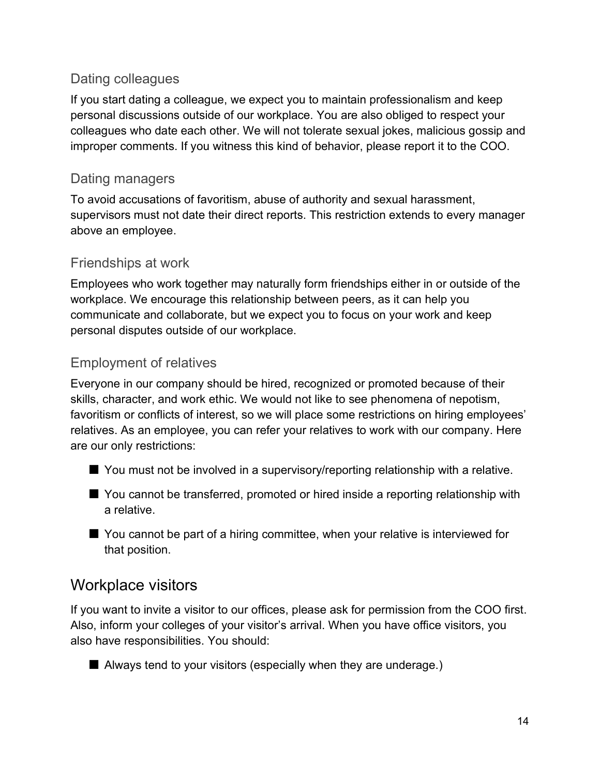### Dating colleagues

If you start dating a colleague, we expect you to maintain professionalism and keep personal discussions outside of our workplace. You are also obliged to respect your colleagues who date each other. We will not tolerate sexual jokes, malicious gossip and improper comments. If you witness this kind of behavior, please report it to the COO.

### Dating managers

To avoid accusations of favoritism, abuse of authority and sexual harassment, supervisors must not date their direct reports. This restriction extends to every manager above an employee.

### Friendships at work

Employees who work together may naturally form friendships either in or outside of the workplace. We encourage this relationship between peers, as it can help you communicate and collaborate, but we expect you to focus on your work and keep personal disputes outside of our workplace.

### Employment of relatives

Everyone in our company should be hired, recognized or promoted because of their skills, character, and work ethic. We would not like to see phenomena of nepotism, favoritism or conflicts of interest, so we will place some restrictions on hiring employees' relatives. As an employee, you can refer your relatives to work with our company. Here are our only restrictions:

- You must not be involved in a supervisory/reporting relationship with a relative.
- You cannot be transferred, promoted or hired inside a reporting relationship with a relative.
- You cannot be part of a hiring committee, when your relative is interviewed for that position.

## Workplace visitors

If you want to invite a visitor to our offices, please ask for permission from the COO first. Also, inform your colleges of your visitor's arrival. When you have office visitors, you also have responsibilities. You should:

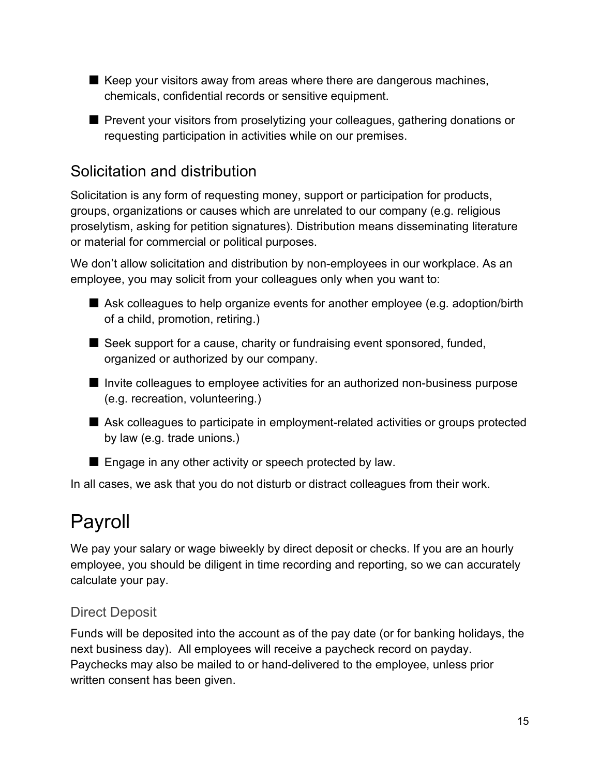- Keep your visitors away from areas where there are dangerous machines, chemicals, confidential records or sensitive equipment.
- Prevent your visitors from proselytizing your colleagues, gathering donations or requesting participation in activities while on our premises.

## Solicitation and distribution

Solicitation is any form of requesting money, support or participation for products, groups, organizations or causes which are unrelated to our company (e.g. religious proselytism, asking for petition signatures). Distribution means disseminating literature or material for commercial or political purposes.

We don't allow solicitation and distribution by non-employees in our workplace. As an employee, you may solicit from your colleagues only when you want to:

- Ask colleagues to help organize events for another employee (e.g. adoption/birth of a child, promotion, retiring.)
- Seek support for a cause, charity or fundraising event sponsored, funded, organized or authorized by our company.
- Invite colleagues to employee activities for an authorized non-business purpose (e.g. recreation, volunteering.)
- Ask colleagues to participate in employment-related activities or groups protected by law (e.g. trade unions.)
- Engage in any other activity or speech protected by law.

In all cases, we ask that you do not disturb or distract colleagues from their work.

# Payroll

We pay your salary or wage biweekly by direct deposit or checks. If you are an hourly employee, you should be diligent in time recording and reporting, so we can accurately calculate your pay.

### Direct Deposit

Funds will be deposited into the account as of the pay date (or for banking holidays, the next business day). All employees will receive a paycheck record on payday. Paychecks may also be mailed to or hand-delivered to the employee, unless prior written consent has been given.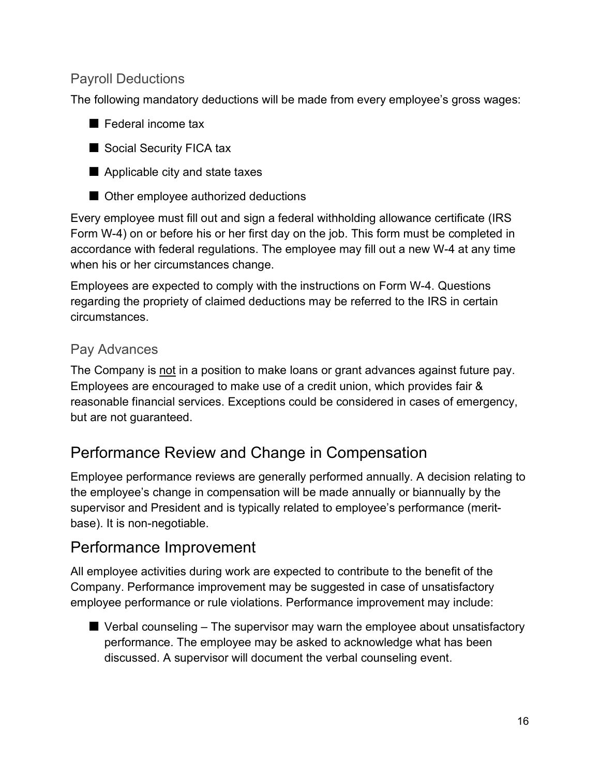### Payroll Deductions

The following mandatory deductions will be made from every employee's gross wages:

- Federal income tax
- Social Security FICA tax
- Applicable city and state taxes
- Other employee authorized deductions

Every employee must fill out and sign a federal withholding allowance certificate (IRS Form W-4) on or before his or her first day on the job. This form must be completed in accordance with federal regulations. The employee may fill out a new W-4 at any time when his or her circumstances change.

Employees are expected to comply with the instructions on Form W-4. Questions regarding the propriety of claimed deductions may be referred to the IRS in certain circumstances.

### Pay Advances

The Company is not in a position to make loans or grant advances against future pay. Employees are encouraged to make use of a credit union, which provides fair & reasonable financial services. Exceptions could be considered in cases of emergency, but are not guaranteed.

## Performance Review and Change in Compensation

Employee performance reviews are generally performed annually. A decision relating to the employee's change in compensation will be made annually or biannually by the supervisor and President and is typically related to employee's performance (meritbase). It is non-negotiable.

## Performance Improvement

All employee activities during work are expected to contribute to the benefit of the Company. Performance improvement may be suggested in case of unsatisfactory employee performance or rule violations. Performance improvement may include:

 $\blacksquare$  Verbal counseling  $-$  The supervisor may warn the employee about unsatisfactory performance. The employee may be asked to acknowledge what has been discussed. A supervisor will document the verbal counseling event.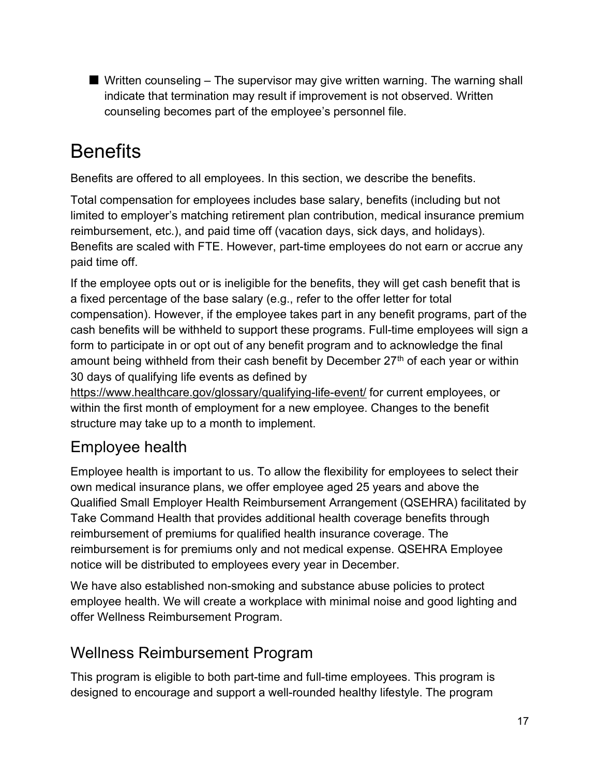$\blacksquare$  Written counseling  $-$  The supervisor may give written warning. The warning shall indicate that termination may result if improvement is not observed. Written counseling becomes part of the employee's personnel file.

# **Benefits**

Benefits are offered to all employees. In this section, we describe the benefits.

Total compensation for employees includes base salary, benefits (including but not limited to employer's matching retirement plan contribution, medical insurance premium reimbursement, etc.), and paid time off (vacation days, sick days, and holidays). Benefits are scaled with FTE. However, part-time employees do not earn or accrue any paid time off.

If the employee opts out or is ineligible for the benefits, they will get cash benefit that is a fixed percentage of the base salary (e.g., refer to the offer letter for total compensation). However, if the employee takes part in any benefit programs, part of the cash benefits will be withheld to support these programs. Full-time employees will sign a form to participate in or opt out of any benefit program and to acknowledge the final amount being withheld from their cash benefit by December 27<sup>th</sup> of each year or within 30 days of qualifying life events as defined by

https://www.healthcare.gov/glossary/qualifying-life-event/ for current employees, or within the first month of employment for a new employee. Changes to the benefit structure may take up to a month to implement.

# Employee health

Employee health is important to us. To allow the flexibility for employees to select their own medical insurance plans, we offer employee aged 25 years and above the Qualified Small Employer Health Reimbursement Arrangement (QSEHRA) facilitated by Take Command Health that provides additional health coverage benefits through reimbursement of premiums for qualified health insurance coverage. The reimbursement is for premiums only and not medical expense. QSEHRA Employee notice will be distributed to employees every year in December.

We have also established non-smoking and substance abuse policies to protect employee health. We will create a workplace with minimal noise and good lighting and offer Wellness Reimbursement Program.

# Wellness Reimbursement Program

This program is eligible to both part-time and full-time employees. This program is designed to encourage and support a well-rounded healthy lifestyle. The program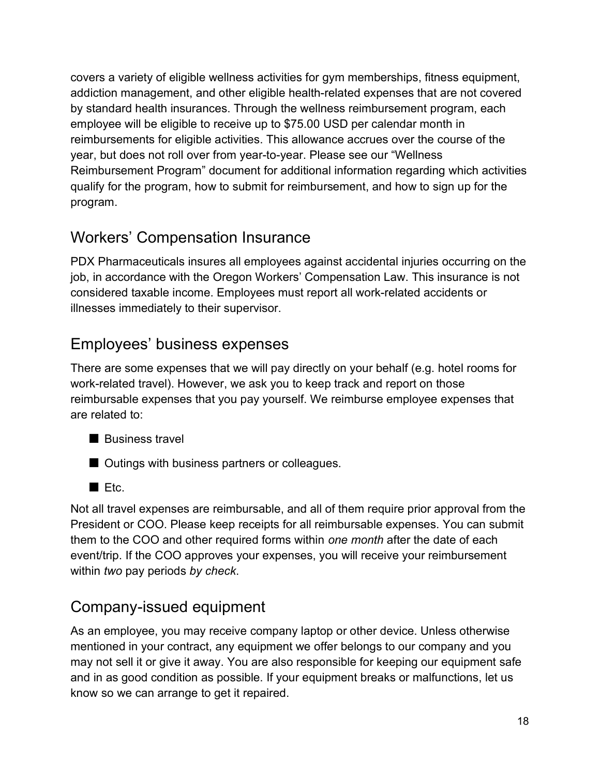covers a variety of eligible wellness activities for gym memberships, fitness equipment, addiction management, and other eligible health-related expenses that are not covered by standard health insurances. Through the wellness reimbursement program, each employee will be eligible to receive up to \$75.00 USD per calendar month in reimbursements for eligible activities. This allowance accrues over the course of the year, but does not roll over from year-to-year. Please see our "Wellness Reimbursement Program" document for additional information regarding which activities qualify for the program, how to submit for reimbursement, and how to sign up for the program.

# Workers' Compensation Insurance

PDX Pharmaceuticals insures all employees against accidental injuries occurring on the job, in accordance with the Oregon Workers' Compensation Law. This insurance is not considered taxable income. Employees must report all work-related accidents or illnesses immediately to their supervisor.

# Employees' business expenses

There are some expenses that we will pay directly on your behalf (e.g. hotel rooms for work-related travel). However, we ask you to keep track and report on those reimbursable expenses that you pay yourself. We reimburse employee expenses that are related to:

- Business travel
- Outings with business partners or colleagues.
- Etc.

Not all travel expenses are reimbursable, and all of them require prior approval from the President or COO. Please keep receipts for all reimbursable expenses. You can submit them to the COO and other required forms within one month after the date of each event/trip. If the COO approves your expenses, you will receive your reimbursement within two pay periods by check.

# Company-issued equipment

As an employee, you may receive company laptop or other device. Unless otherwise mentioned in your contract, any equipment we offer belongs to our company and you may not sell it or give it away. You are also responsible for keeping our equipment safe and in as good condition as possible. If your equipment breaks or malfunctions, let us know so we can arrange to get it repaired.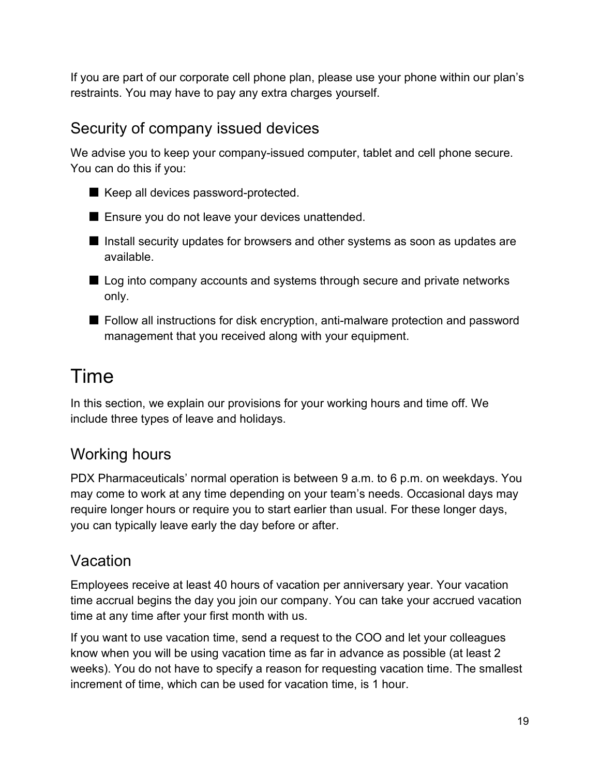If you are part of our corporate cell phone plan, please use your phone within our plan's restraints. You may have to pay any extra charges yourself.

# Security of company issued devices

We advise you to keep your company-issued computer, tablet and cell phone secure. You can do this if you:

- Keep all devices password-protected.
- Ensure you do not leave your devices unattended.
- Install security updates for browsers and other systems as soon as updates are available.
- Log into company accounts and systems through secure and private networks only.
- Follow all instructions for disk encryption, anti-malware protection and password management that you received along with your equipment.

# Time

In this section, we explain our provisions for your working hours and time off. We include three types of leave and holidays.

# Working hours

PDX Pharmaceuticals' normal operation is between 9 a.m. to 6 p.m. on weekdays. You may come to work at any time depending on your team's needs. Occasional days may require longer hours or require you to start earlier than usual. For these longer days, you can typically leave early the day before or after.

# Vacation

Employees receive at least 40 hours of vacation per anniversary year. Your vacation time accrual begins the day you join our company. You can take your accrued vacation time at any time after your first month with us.

If you want to use vacation time, send a request to the COO and let your colleagues know when you will be using vacation time as far in advance as possible (at least 2 weeks). You do not have to specify a reason for requesting vacation time. The smallest increment of time, which can be used for vacation time, is 1 hour.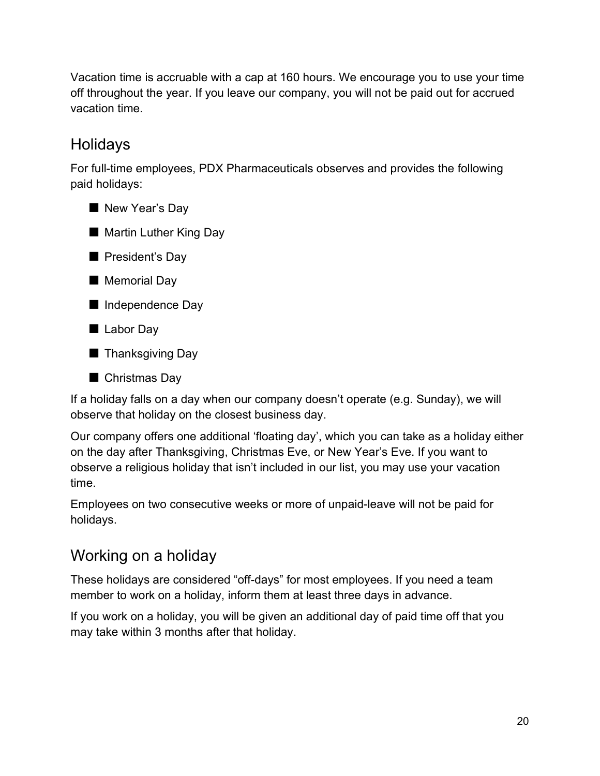Vacation time is accruable with a cap at 160 hours. We encourage you to use your time off throughout the year. If you leave our company, you will not be paid out for accrued vacation time.

# Holidays

For full-time employees, PDX Pharmaceuticals observes and provides the following paid holidays:



■ Martin Luther King Day



- Memorial Day
- Independence Day
- Labor Day
- Thanksgiving Day



If a holiday falls on a day when our company doesn't operate (e.g. Sunday), we will observe that holiday on the closest business day.

Our company offers one additional 'floating day', which you can take as a holiday either on the day after Thanksgiving, Christmas Eve, or New Year's Eve. If you want to observe a religious holiday that isn't included in our list, you may use your vacation time.

Employees on two consecutive weeks or more of unpaid-leave will not be paid for holidays.

# Working on a holiday

These holidays are considered "off-days" for most employees. If you need a team member to work on a holiday, inform them at least three days in advance.

If you work on a holiday, you will be given an additional day of paid time off that you may take within 3 months after that holiday.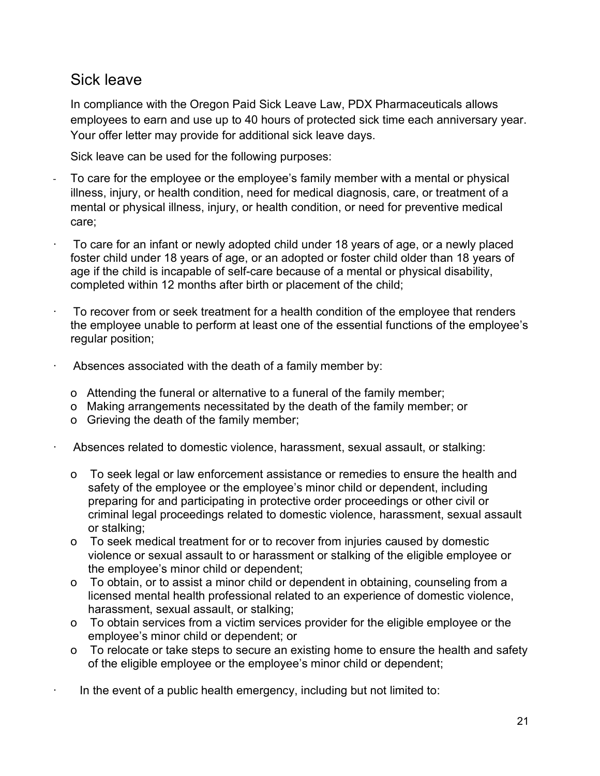## Sick leave

In compliance with the Oregon Paid Sick Leave Law, PDX Pharmaceuticals allows employees to earn and use up to 40 hours of protected sick time each anniversary year. Your offer letter may provide for additional sick leave days.

Sick leave can be used for the following purposes:

- To care for the employee or the employee's family member with a mental or physical illness, injury, or health condition, need for medical diagnosis, care, or treatment of a mental or physical illness, injury, or health condition, or need for preventive medical care;
- To care for an infant or newly adopted child under 18 years of age, or a newly placed foster child under 18 years of age, or an adopted or foster child older than 18 years of age if the child is incapable of self-care because of a mental or physical disability, completed within 12 months after birth or placement of the child;
- To recover from or seek treatment for a health condition of the employee that renders the employee unable to perform at least one of the essential functions of the employee's regular position;
- Absences associated with the death of a family member by:
	- o Attending the funeral or alternative to a funeral of the family member;
	- o Making arrangements necessitated by the death of the family member; or
	- o Grieving the death of the family member;
- Absences related to domestic violence, harassment, sexual assault, or stalking:
	- o To seek legal or law enforcement assistance or remedies to ensure the health and safety of the employee or the employee's minor child or dependent, including preparing for and participating in protective order proceedings or other civil or criminal legal proceedings related to domestic violence, harassment, sexual assault or stalking;
	- o To seek medical treatment for or to recover from injuries caused by domestic violence or sexual assault to or harassment or stalking of the eligible employee or the employee's minor child or dependent;
	- o To obtain, or to assist a minor child or dependent in obtaining, counseling from a licensed mental health professional related to an experience of domestic violence, harassment, sexual assault, or stalking;
	- o To obtain services from a victim services provider for the eligible employee or the employee's minor child or dependent; or
	- o To relocate or take steps to secure an existing home to ensure the health and safety of the eligible employee or the employee's minor child or dependent;
- $\cdot$  In the event of a public health emergency, including but not limited to: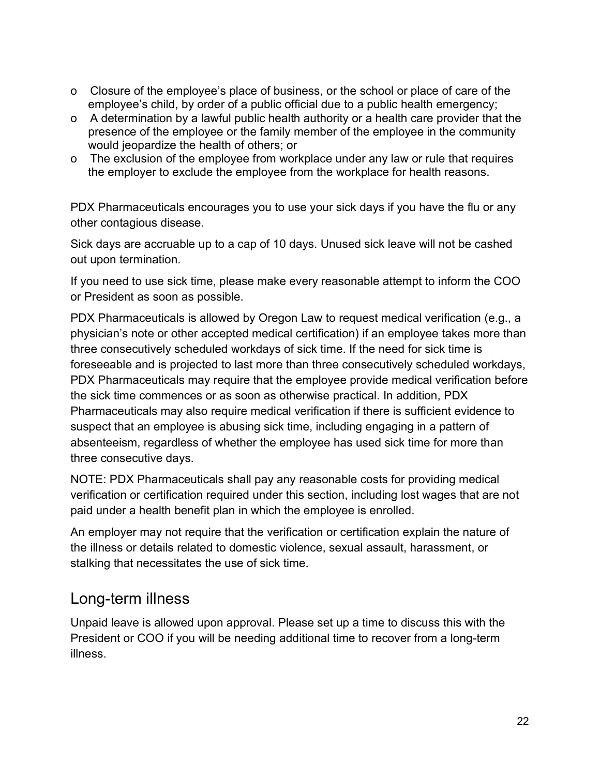- o Closure of the employee's place of business, or the school or place of care of the employee's child, by order of a public official due to a public health emergency;
- o A determination by a lawful public health authority or a health care provider that the presence of the employee or the family member of the employee in the community would jeopardize the health of others; or
- o The exclusion of the employee from workplace under any law or rule that requires the employer to exclude the employee from the workplace for health reasons.

PDX Pharmaceuticals encourages you to use your sick days if you have the flu or any other contagious disease.

Sick days are accruable up to a cap of 10 days. Unused sick leave will not be cashed out upon termination.

If you need to use sick time, please make every reasonable attempt to inform the COO or President as soon as possible.

PDX Pharmaceuticals is allowed by Oregon Law to request medical verification (e.g., a physician's note or other accepted medical certification) if an employee takes more than three consecutively scheduled workdays of sick time. If the need for sick time is foreseeable and is projected to last more than three consecutively scheduled workdays, PDX Pharmaceuticals may require that the employee provide medical verification before the sick time commences or as soon as otherwise practical. In addition, PDX Pharmaceuticals may also require medical verification if there is sufficient evidence to suspect that an employee is abusing sick time, including engaging in a pattern of absenteeism, regardless of whether the employee has used sick time for more than three consecutive days.

NOTE: PDX Pharmaceuticals shall pay any reasonable costs for providing medical verification or certification required under this section, including lost wages that are not paid under a health benefit plan in which the employee is enrolled.

An employer may not require that the verification or certification explain the nature of the illness or details related to domestic violence, sexual assault, harassment, or stalking that necessitates the use of sick time.

## Long-term illness

Unpaid leave is allowed upon approval. Please set up a time to discuss this with the President or COO if you will be needing additional time to recover from a long-term illness.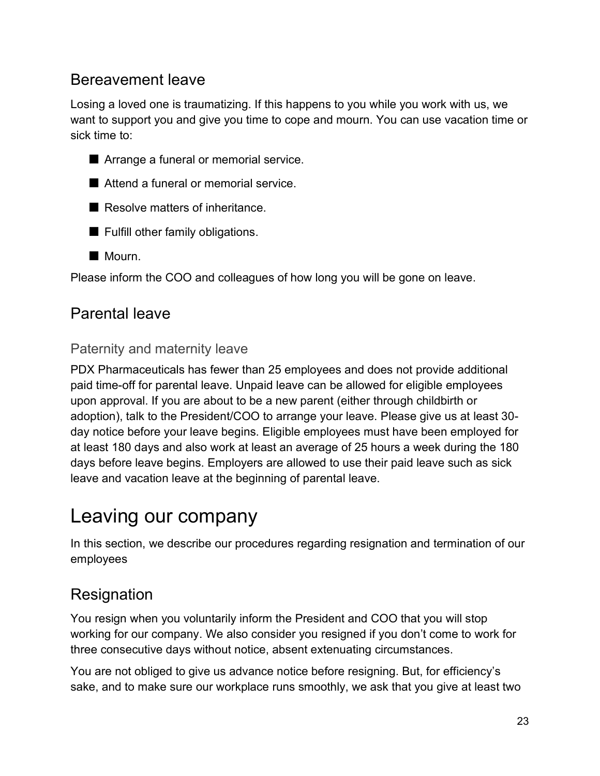## Bereavement leave

Losing a loved one is traumatizing. If this happens to you while you work with us, we want to support you and give you time to cope and mourn. You can use vacation time or sick time to:



- Attend a funeral or memorial service.
- Resolve matters of inheritance
- Fulfill other family obligations.
- Mourn.

Please inform the COO and colleagues of how long you will be gone on leave.

## Parental leave

#### Paternity and maternity leave

PDX Pharmaceuticals has fewer than 25 employees and does not provide additional paid time-off for parental leave. Unpaid leave can be allowed for eligible employees upon approval. If you are about to be a new parent (either through childbirth or adoption), talk to the President/COO to arrange your leave. Please give us at least 30 day notice before your leave begins. Eligible employees must have been employed for at least 180 days and also work at least an average of 25 hours a week during the 180 days before leave begins. Employers are allowed to use their paid leave such as sick leave and vacation leave at the beginning of parental leave.

# Leaving our company

In this section, we describe our procedures regarding resignation and termination of our employees

## **Resignation**

You resign when you voluntarily inform the President and COO that you will stop working for our company. We also consider you resigned if you don't come to work for three consecutive days without notice, absent extenuating circumstances.

You are not obliged to give us advance notice before resigning. But, for efficiency's sake, and to make sure our workplace runs smoothly, we ask that you give at least two